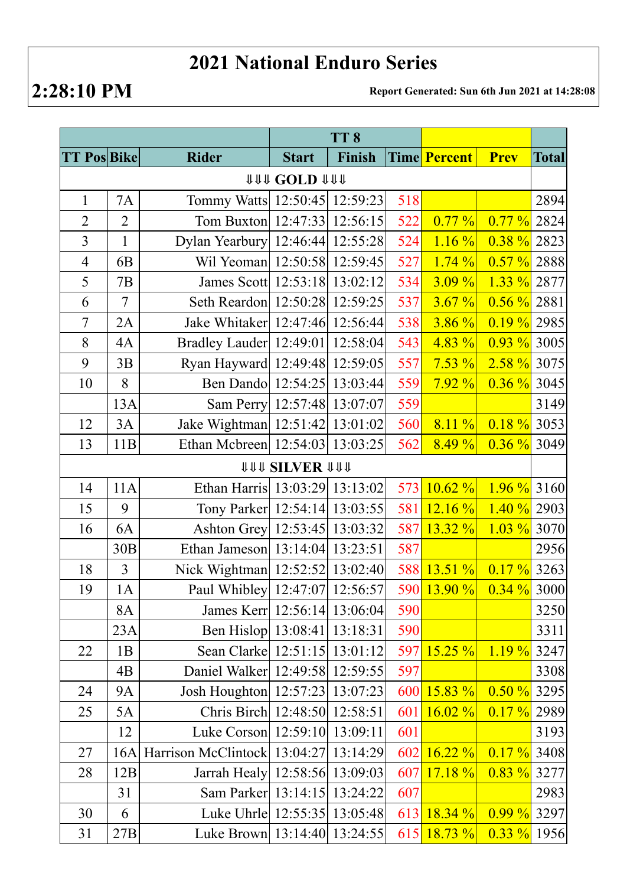## **2021 National Enduro Series**

**2:28:10 PM Report Generated: Sun 6th Jun 2021 at 14:28:08**

|                     |                |                                       | TT <sub>8</sub>              |        |     |                     |                |              |  |  |
|---------------------|----------------|---------------------------------------|------------------------------|--------|-----|---------------------|----------------|--------------|--|--|
| <b>TT Pos Bike</b>  |                | <b>Rider</b>                          | <b>Start</b>                 | Finish |     | <b>Time Percent</b> | <b>Prev</b>    | <b>Total</b> |  |  |
| <b>111 COLD 111</b> |                |                                       |                              |        |     |                     |                |              |  |  |
| $\mathbf{1}$        | <b>7A</b>      | Tommy Watts 12:50:45 12:59:23         |                              |        | 518 |                     |                | 2894         |  |  |
| $\overline{2}$      | $\overline{2}$ | Tom Buxton 12:47:33 12:56:15          |                              |        | 522 | 0.77%               | $0.77\%$       | 2824         |  |  |
| $\overline{3}$      | $\mathbf{1}$   | Dylan Yearbury 12:46:44 12:55:28      |                              |        | 524 | $1.16 \%$           | $0.38\%$       | 2823         |  |  |
| $\overline{4}$      | 6 <sub>B</sub> | Wil Yeoman 12:50:58 12:59:45          |                              |        | 527 | 1.74%               | $0.57 \%$ 2888 |              |  |  |
| 5                   | 7B             | James Scott   12:53:18   13:02:12     |                              |        | 534 | 3.09%               | $1.33 \%$      | 2877         |  |  |
| 6                   | $\overline{7}$ | Seth Reardon 12:50:28 12:59:25        |                              |        | 537 | 3.67%               | $0.56\%$       | 2881         |  |  |
| $\overline{7}$      | 2A             | Jake Whitaker 12:47:46 12:56:44       |                              |        | 538 | $3.86\%$            | $0.19 \%$ 2985 |              |  |  |
| 8                   | 4A             | Bradley Lauder   12:49:01   12:58:04  |                              |        | 543 | 4.83%               | $0.93 \%$ 3005 |              |  |  |
| 9                   | 3B             | Ryan Hayward 12:49:48 12:59:05        |                              |        | 557 | $7.53\%$            | $2.58 \%$ 3075 |              |  |  |
| 10                  | 8              | Ben Dando 12:54:25 13:03:44           |                              |        | 559 | $7.92\%$            | $0.36 \%$ 3045 |              |  |  |
|                     | 13A            | Sam Perry 12:57:48 13:07:07           |                              |        | 559 |                     |                | 3149         |  |  |
| 12                  | 3A             | Jake Wightman   12:51:42   13:01:02   |                              |        | 560 | $8.11\%$            | $0.18 \%$      | 3053         |  |  |
| 13                  | 11B            | Ethan Mcbreen 12:54:03 13:03:25       |                              |        | 562 | 8.49%               | $0.36 \%$ 3049 |              |  |  |
|                     |                |                                       | <b><i>UUU SILVER UUU</i></b> |        |     |                     |                |              |  |  |
| 14                  | 11A            | Ethan Harris 13:03:29 13:13:02        |                              |        | 573 | $10.62\%$           | $1.96\%$       | 3160         |  |  |
| 15                  | 9              | Tony Parker   12:54:14   13:03:55     |                              |        | 581 | 12.16%              | $1.40\%$ 2903  |              |  |  |
| 16                  | 6A             | Ashton Grey 12:53:45 13:03:32         |                              |        | 587 | $13.32\%$           | $1.03 \%$      | 3070         |  |  |
|                     | 30B            | Ethan Jameson 13:14:04 13:23:51       |                              |        | 587 |                     |                | 2956         |  |  |
| 18                  | 3              | Nick Wightman   12:52:52   13:02:40   |                              |        | 588 | 13.51 %             | $0.17 \%$      | 3263         |  |  |
| 19                  | 1A             | Paul Whibley 12:47:07 12:56:57        |                              |        |     | $590 13.90\% $      | $0.34 \%$ 3000 |              |  |  |
|                     | 8A             | James Kerr 12:56:14 13:06:04          |                              |        | 590 |                     |                | 3250         |  |  |
|                     | 23A            | Ben Hislop 13:08:41 13:18:31          |                              |        | 590 |                     |                | 3311         |  |  |
| 22                  | 1B             | Sean Clarke   12:51:15   13:01:12     |                              |        | 597 | $15.25 \%$          | $1.19\%$       | 3247         |  |  |
|                     | 4B             | Daniel Walker 12:49:58 12:59:55       |                              |        | 597 |                     |                | 3308         |  |  |
| 24                  | <b>9A</b>      | Josh Houghton 12:57:23 13:07:23       |                              |        | 600 | $15.83 \%$          | 0.50%          | 3295         |  |  |
| 25                  | 5A             | Chris Birch 12:48:50 12:58:51         |                              |        | 601 | $16.02\%$           | $0.17 \%$ 2989 |              |  |  |
|                     | 12             | Luke Corson   12:59:10   13:09:11     |                              |        | 601 |                     |                | 3193         |  |  |
| 27                  | 16A            | Harrison McClintock 13:04:27 13:14:29 |                              |        | 602 | $16.22\%$           | $0.17 \%$      | 3408         |  |  |
| 28                  | 12B            | Jarrah Healy 12:58:56 13:09:03        |                              |        | 607 | $17.18 \%$          | $0.83 \%$ 3277 |              |  |  |
|                     | 31             | Sam Parker   13:14:15   13:24:22      |                              |        | 607 |                     |                | 2983         |  |  |
| 30                  | 6              | Luke Uhrle 12:55:35 13:05:48          |                              |        | 613 | $18.34 \%$          | $0.99\%$ 3297  |              |  |  |
| 31                  | 27B            | Luke Brown 13:14:40 13:24:55          |                              |        | 615 | $18.73 \%$          | $0.33 \%$ 1956 |              |  |  |